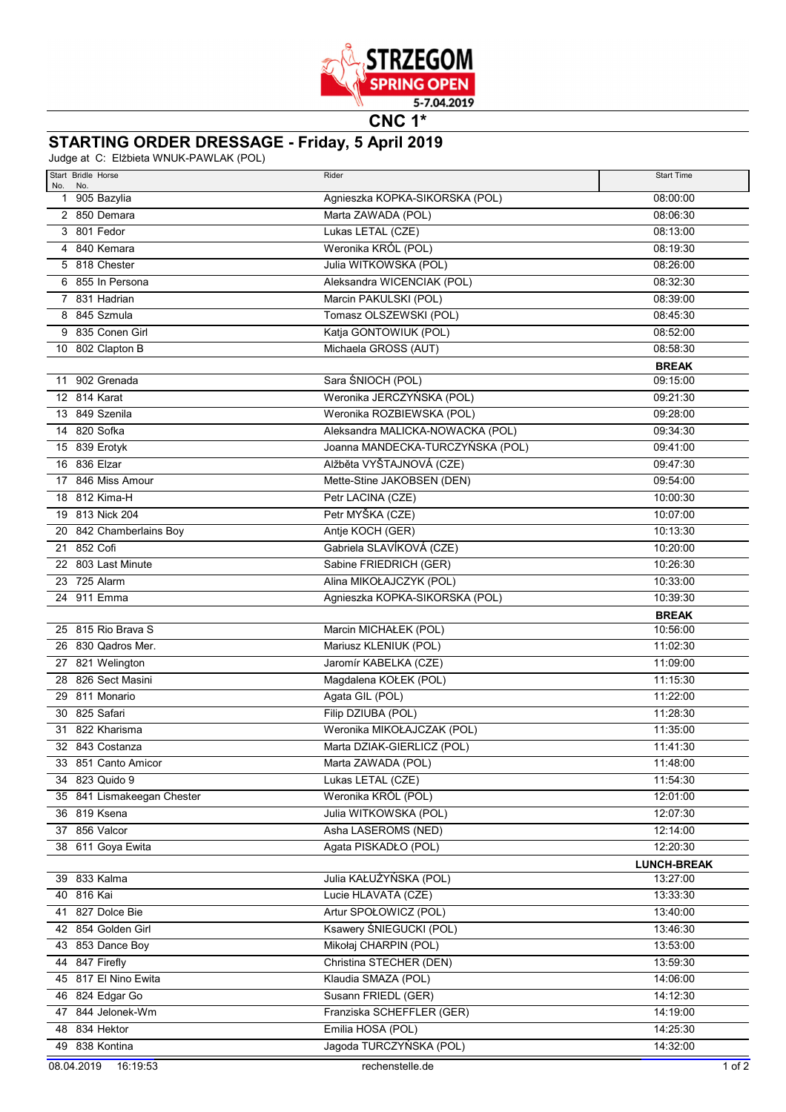

**CNC 1\***

## **STARTING ORDER DRESSAGE - Friday, 5 April 2019**

Judge at C: Elżbieta WNUK-PAWLAK (POL)

| Start Bridle Horse                         | Rider                                        | <b>Start Time</b>              |
|--------------------------------------------|----------------------------------------------|--------------------------------|
| No.<br>No.<br>1 905 Bazylia                | Agnieszka KOPKA-SIKORSKA (POL)               | 08:00:00                       |
| 2 850 Demara                               | Marta ZAWADA (POL)                           | 08:06:30                       |
| 3 801 Fedor                                | Lukas LETAL (CZE)                            | 08:13:00                       |
| 4 840 Kemara                               | Weronika KRÓL (POL)                          | 08:19:30                       |
| 5 818 Chester                              | Julia WITKOWSKA (POL)                        | 08:26:00                       |
| 6 855 In Persona                           | Aleksandra WICENCIAK (POL)                   | 08:32:30                       |
| 7 831 Hadrian                              | Marcin PAKULSKI (POL)                        | 08:39:00                       |
| 8 845 Szmula                               | Tomasz OLSZEWSKI (POL)                       | 08:45:30                       |
| 9 835 Conen Girl                           | Katja GONTOWIUK (POL)                        | 08:52:00                       |
| 10 802 Clapton B                           | Michaela GROSS (AUT)                         | 08:58:30                       |
|                                            |                                              | <b>BREAK</b>                   |
| 11 902 Grenada                             | Sara ŚNIOCH (POL)                            | 09:15:00                       |
| 12 814 Karat                               | Weronika JERCZYŃSKA (POL)                    | 09:21:30                       |
| 13 849 Szenila                             | Weronika ROZBIEWSKA (POL)                    | 09:28:00                       |
| 14 820 Sofka                               | Aleksandra MALICKA-NOWACKA (POL)             | 09:34:30                       |
| 15 839 Erotyk                              | Joanna MANDECKA-TURCZYŃSKA (POL)             | 09:41:00                       |
| 16 836 Elzar                               | Alžběta VYŠTAJNOVÁ (CZE)                     | 09:47:30                       |
| 17 846 Miss Amour                          | Mette-Stine JAKOBSEN (DEN)                   | 09:54:00                       |
| 18 812 Kima-H                              | Petr LACINA (CZE)                            | 10:00:30                       |
| 19 813 Nick 204                            | Petr MYŠKA (CZE)                             | 10:07:00                       |
| 20 842 Chamberlains Boy                    | Antje KOCH (GER)                             | 10:13:30                       |
| 21 852 Cofi                                | Gabriela SLAVÍKOVÁ (CZE)                     | 10:20:00                       |
| 22 803 Last Minute                         | Sabine FRIEDRICH (GER)                       | 10:26:30                       |
| 23 725 Alarm                               | Alina MIKOŁAJCZYK (POL)                      | 10:33:00                       |
| 24 911 Emma                                | Agnieszka KOPKA-SIKORSKA (POL)               | 10:39:30                       |
|                                            |                                              | <b>BREAK</b>                   |
| 25 815 Rio Brava S                         | Marcin MICHAŁEK (POL)                        | 10:56:00                       |
| 26 830 Qadros Mer.                         | Mariusz KLENIUK (POL)                        | 11:02:30                       |
| 27 821 Welington                           | Jaromír KABELKA (CZE)                        | 11:09:00                       |
| 28 826 Sect Masini                         | Magdalena KOŁEK (POL)                        | 11:15:30                       |
| 29 811 Monario                             | Agata GIL (POL)                              | 11:22:00                       |
| 30 825 Safari                              | Filip DZIUBA (POL)                           | 11:28:30                       |
| 31 822 Kharisma                            | Weronika MIKOŁAJCZAK (POL)                   | 11:35:00                       |
| 32 843 Costanza                            | Marta DZIAK-GIERLICZ (POL)                   | 11:41:30                       |
| 33 851 Canto Amicor                        | Marta ZAWADA (POL)                           | 11:48:00                       |
| 34 823 Quido 9                             | Lukas LETAL (CZE)                            | 11:54:30                       |
| 35 841 Lismakeegan Chester<br>36 819 Ksena | Weronika KRÓL (POL)<br>Julia WITKOWSKA (POL) | 12:01:00                       |
| 37 856 Valcor                              | Asha LASEROMS (NED)                          | 12:07:30<br>12:14:00           |
| 38 611 Goya Ewita                          | Agata PISKADŁO (POL)                         | 12:20:30                       |
|                                            |                                              |                                |
| 39 833 Kalma                               | Julia KAŁUŻYŃSKA (POL)                       | <b>LUNCH-BREAK</b><br>13:27:00 |
| 40 816 Kai                                 | Lucie HLAVATA (CZE)                          | 13:33:30                       |
| 41 827 Dolce Bie                           | Artur SPOŁOWICZ (POL)                        | 13:40:00                       |
| 42 854 Golden Girl                         | Ksawery ŚNIEGUCKI (POL)                      | 13:46:30                       |
| 43 853 Dance Boy                           | Mikołaj CHARPIN (POL)                        | 13:53:00                       |
| 44 847 Firefly                             | Christina STECHER (DEN)                      | 13:59:30                       |
| 45 817 El Nino Ewita                       | Klaudia SMAZA (POL)                          | 14:06:00                       |
| 46 824 Edgar Go                            | Susann FRIEDL (GER)                          | 14:12:30                       |
| 47 844 Jelonek-Wm                          | Franziska SCHEFFLER (GER)                    | 14:19:00                       |
| 48 834 Hektor                              | Emilia HOSA (POL)                            | 14:25:30                       |
| 49 838 Kontina                             | Jagoda TURCZYŃSKA (POL)                      | 14:32:00                       |
| 08.04.2019<br>16:19:53                     | rechenstelle.de                              | 1 of 2                         |
|                                            |                                              |                                |